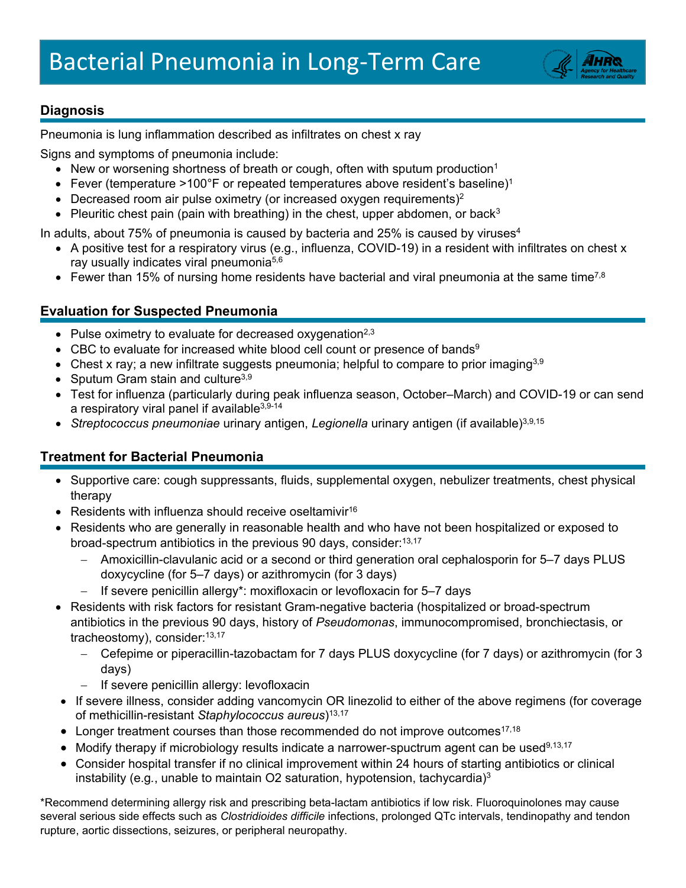

## **Diagnosis**

Pneumonia is lung inflammation described as infiltrates on chest x ray

Signs and symptoms of pneumonia include:

- New or worsening shortness of breath or cough, often with sputum production<sup>1</sup>
- Fever (temperature >100°F or repeated temperatures above resident's baseline)<sup>1</sup>
- Decreased room air pulse oximetry (or increased oxygen requirements)<sup>2</sup>
- Pleuritic chest pain (pain with breathing) in the chest, upper abdomen, or back<sup>3</sup>

In adults, about 75% of pneumonia is caused by bacteria and 25% is caused by viruses $4$ 

- A positive test for a respiratory virus (e.g., influenza, COVID-19) in a resident with infiltrates on chest x ray usually indicates viral pneumonia<sup>5,6</sup>
- Fewer than 15% of nursing home residents have bacterial and viral pneumonia at the same time<sup>7,8</sup>

## **Evaluation for Suspected Pneumonia**

- Pulse oximetry to evaluate for decreased oxygenation<sup>2,3</sup>
- CBC to evaluate for increased white blood cell count or presence of bands<sup>9</sup>
- Chest x ray; a new infiltrate suggests pneumonia; helpful to compare to prior imaging<sup>3,9</sup>
- Sputum Gram stain and culture<sup>3,9</sup>
- Test for influenza (particularly during peak influenza season, October–March) and COVID-19 or can send a respiratory viral panel if available $3,9-14$
- *Streptococcus pneumoniae* urinary antigen, *Legionella* urinary antigen (if available)<sup>3,9,15</sup>

## **Treatment for Bacterial Pneumonia**

- Supportive care: cough suppressants, fluids, supplemental oxygen, nebulizer treatments, chest physical therapy
- Residents with influenza should receive oseltamivir<sup>16</sup>
- Residents who are generally in reasonable health and who have not been hospitalized or exposed to broad-spectrum antibiotics in the previous 90 days, consider: 13,17
	- − Amoxicillin-clavulanic acid or a second or third generation oral cephalosporin for 5–7 days PLUS doxycycline (for 5–7 days) or azithromycin (for 3 days)
		- If severe penicillin allergy\*: moxifloxacin or levofloxacin for 5–7 days
- Residents with risk factors for resistant Gram-negative bacteria (hospitalized or broad-spectrum antibiotics in the previous 90 days, history of *Pseudomonas*, immunocompromised, bronchiectasis, or tracheostomy), consider: 13,17
	- − Cefepime or piperacillin-tazobactam for 7 days PLUS doxycycline (for 7 days) or azithromycin (for 3 days)
	- − If severe penicillin allergy: levofloxacin
- If severe illness, consider adding vancomycin OR linezolid to either of the above regimens (for coverage of methicillin-resistant *Staphylococcus aureus*)13,17
- Longer treatment courses than those recommended do not improve outcomes<sup>17,18</sup>
- Modify therapy if microbiology results indicate a narrower-spuctrum agent can be used<sup>9,13,17</sup>
- Consider hospital transfer if no clinical improvement within 24 hours of starting antibiotics or clinical instability (e.g*.*, unable to maintain O2 saturation, hypotension, tachycardia)3

\*Recommend determining allergy risk and prescribing beta-lactam antibiotics if low risk. Fluoroquinolones may cause several serious side effects such as *Clostridioides difficile* infections, prolonged QTc intervals, tendinopathy and tendon rupture, aortic dissections, seizures, or peripheral neuropathy.